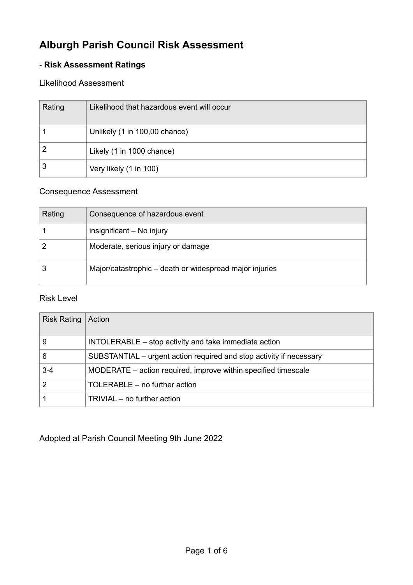# **Alburgh Parish Council Risk Assessment**

### - **Risk Assessment Ratings**

#### Likelihood Assessment

| Rating | Likelihood that hazardous event will occur |
|--------|--------------------------------------------|
|        | Unlikely (1 in 100,00 chance)              |
|        | Likely (1 in 1000 chance)                  |
| 3      | Very likely (1 in 100)                     |

### Consequence Assessment

| Rating | Consequence of hazardous event                          |
|--------|---------------------------------------------------------|
|        | insignificant - No injury                               |
|        | Moderate, serious injury or damage                      |
|        | Major/catastrophic – death or widespread major injuries |

#### Risk Level

| <b>Risk Rating</b> | Action                                                              |
|--------------------|---------------------------------------------------------------------|
| 9                  | INTOLERABLE – stop activity and take immediate action               |
| 6                  | SUBSTANTIAL – urgent action required and stop activity if necessary |
| $3 - 4$            | MODERATE – action required, improve within specified timescale      |
|                    | TOLERABLE – no further action                                       |
|                    | TRIVIAL – no further action                                         |

Adopted at Parish Council Meeting 9th June 2022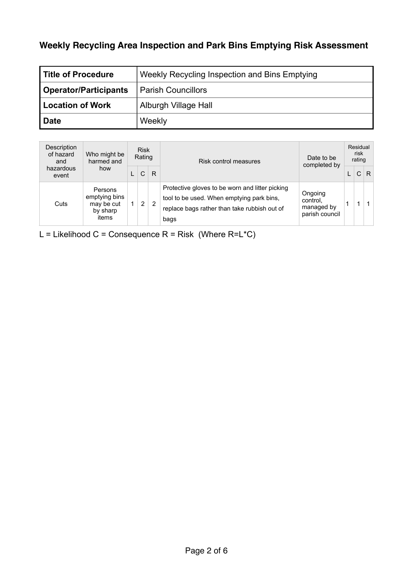### **Weekly Recycling Area Inspection and Park Bins Emptying Risk Assessment**

| <b>Title of Procedure</b>    | Weekly Recycling Inspection and Bins Emptying |
|------------------------------|-----------------------------------------------|
| <b>Operator/Participants</b> | <b>Parish Councillors</b>                     |
| Location of Work             | Alburgh Village Hall                          |
| Date                         | Weekly                                        |

| Description<br>of hazard<br>and | Who might be<br>harmed and                                  |    | <b>Risk</b><br>Rating |   | Risk control measures                                                                                                                                | Date to be<br>completed by                          | Residual<br>risk<br>rating |   |
|---------------------------------|-------------------------------------------------------------|----|-----------------------|---|------------------------------------------------------------------------------------------------------------------------------------------------------|-----------------------------------------------------|----------------------------|---|
| hazardous<br>event              | how                                                         |    | C                     | R |                                                                                                                                                      |                                                     | C                          | R |
| Cuts                            | Persons<br>emptying bins<br>may be cut<br>by sharp<br>items | 1. | $\overline{2}$        | 2 | Protective gloves to be worn and litter picking<br>tool to be used. When emptying park bins,<br>replace bags rather than take rubbish out of<br>bags | Ongoing<br>control.<br>managed by<br>parish council |                            |   |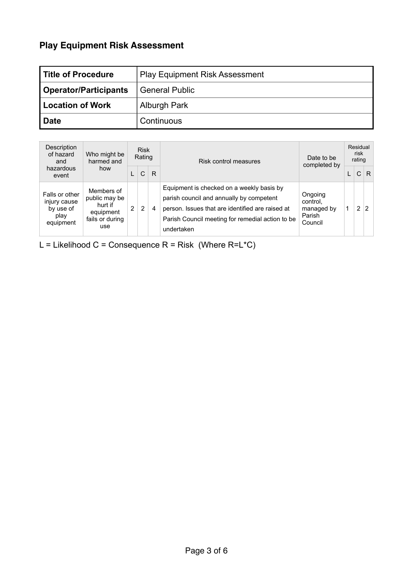## **Play Equipment Risk Assessment**

| Title of Procedure    | <b>Play Equipment Risk Assessment</b> |
|-----------------------|---------------------------------------|
| Operator/Participants | <b>General Public</b>                 |
| Location of Work      | Alburgh Park                          |
| <b>Date</b>           | Continuous                            |

| Description<br>of hazard<br>and                                  | Who might be<br>harmed and                                                    | <b>Risk</b><br>Rating |   | Risk control measures |                                                                                                                                                                                                             | Date to be<br>completed by                             |  | Residual<br>risk<br>rating |                |
|------------------------------------------------------------------|-------------------------------------------------------------------------------|-----------------------|---|-----------------------|-------------------------------------------------------------------------------------------------------------------------------------------------------------------------------------------------------------|--------------------------------------------------------|--|----------------------------|----------------|
| hazardous<br>event                                               | how                                                                           |                       | C | R                     |                                                                                                                                                                                                             |                                                        |  | C                          | R              |
| Falls or other<br>injury cause<br>by use of<br>play<br>equipment | Members of<br>public may be<br>hurt if<br>equipment<br>fails or during<br>use | $\mathbf{2}^{\circ}$  | 2 | 4                     | Equipment is checked on a weekly basis by<br>parish council and annually by competent<br>person. Issues that are identified are raised at<br>Parish Council meeting for remedial action to be<br>undertaken | Ongoing<br>control.<br>managed by<br>Parish<br>Council |  | 2                          | $\overline{2}$ |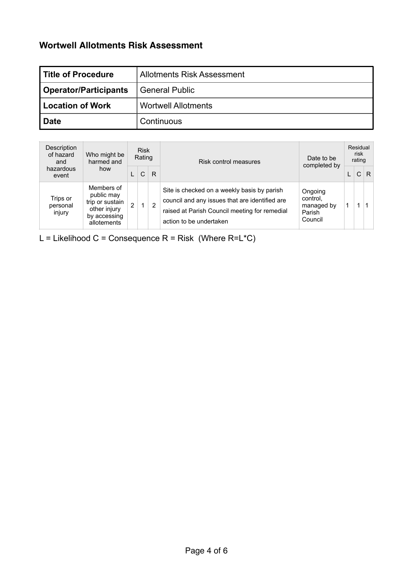### **Wortwell Allotments Risk Assessment**

| l Title of Procedure    | Allotments Risk Assessment |
|-------------------------|----------------------------|
| Operator/Participants   | <b>General Public</b>      |
| <b>Location of Work</b> | <b>Wortwell Allotments</b> |
| l Date                  | Continuous                 |

| Description<br>of hazard<br>and | Who might be<br>harmed and                                                                 |                | <b>Risk</b><br>Rating |                | Risk control measures                                                                                                                                                     | Date to be<br>completed by                             | Residual<br>risk<br>rating |   |
|---------------------------------|--------------------------------------------------------------------------------------------|----------------|-----------------------|----------------|---------------------------------------------------------------------------------------------------------------------------------------------------------------------------|--------------------------------------------------------|----------------------------|---|
| hazardous<br>event              | how                                                                                        |                | C                     | R              |                                                                                                                                                                           |                                                        | $\mathsf{C}$               | R |
| Trips or<br>personal<br>injury  | Members of<br>public may<br>trip or sustain<br>other injury<br>by accessing<br>allotements | $\overline{2}$ | 1                     | $\overline{2}$ | Site is checked on a weekly basis by parish<br>council and any issues that are identified are<br>raised at Parish Council meeting for remedial<br>action to be undertaken | Ongoing<br>control.<br>managed by<br>Parish<br>Council |                            |   |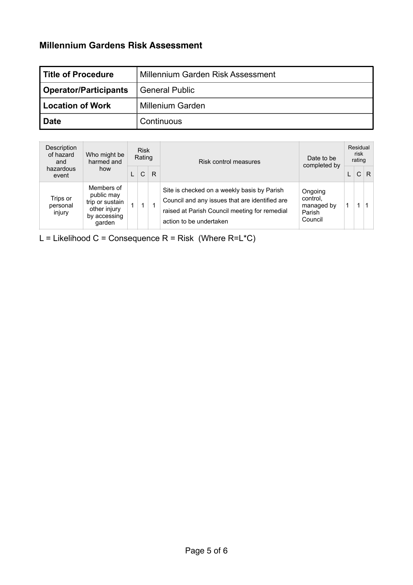### **Millennium Gardens Risk Assessment**

| l Title of Procedure    | Millennium Garden Risk Assessment |
|-------------------------|-----------------------------------|
| Operator/Participants   | <b>General Public</b>             |
| <b>Location of Work</b> | <b>Millenium Garden</b>           |
| l Date                  | Continuous                        |

| Description<br>of hazard<br>and | Who might be<br>harmed and                                                            | <b>Risk</b><br>Rating |   | Risk control measures                                                                                                                                                     | Date to be<br>completed by                             | Residual<br>risk<br>rating |    |
|---------------------------------|---------------------------------------------------------------------------------------|-----------------------|---|---------------------------------------------------------------------------------------------------------------------------------------------------------------------------|--------------------------------------------------------|----------------------------|----|
| hazardous<br>event              | how                                                                                   | C                     | R |                                                                                                                                                                           |                                                        | $\mathsf{C}$               | R. |
| Trips or<br>personal<br>injury  | Members of<br>public may<br>trip or sustain<br>other injury<br>by accessing<br>qarden | 1                     |   | Site is checked on a weekly basis by Parish<br>Council and any issues that are identified are<br>raised at Parish Council meeting for remedial<br>action to be undertaken | Ongoing<br>control.<br>managed by<br>Parish<br>Council |                            |    |